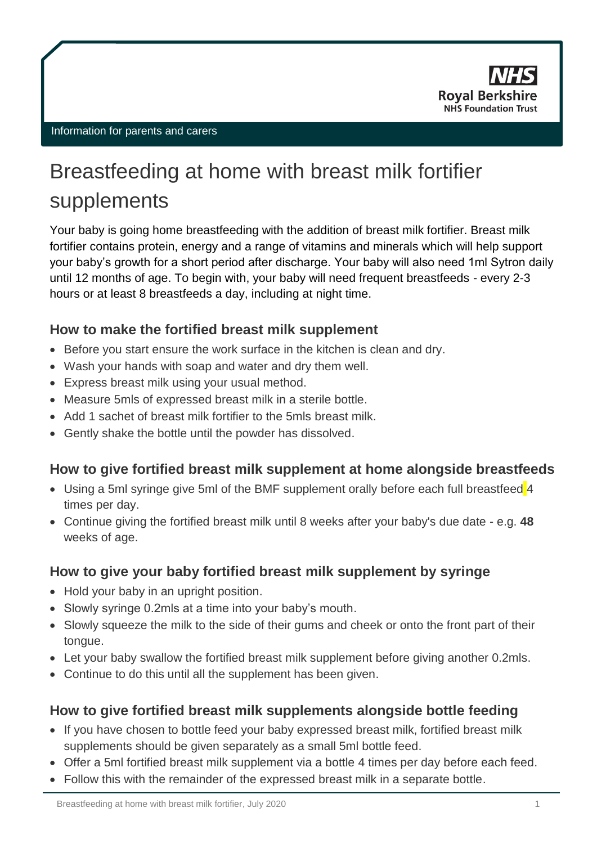

#### Information for parents and carers

# Breastfeeding at home with breast milk fortifier supplements

Your baby is going home breastfeeding with the addition of breast milk fortifier. Breast milk fortifier contains protein, energy and a range of vitamins and minerals which will help support your baby's growth for a short period after discharge. Your baby will also need 1ml Sytron daily until 12 months of age. To begin with, your baby will need frequent breastfeeds - every 2-3 hours or at least 8 breastfeeds a day, including at night time.

#### **How to make the fortified breast milk supplement**

- Before you start ensure the work surface in the kitchen is clean and dry.
- Wash your hands with soap and water and dry them well.
- Express breast milk using your usual method.
- Measure 5mls of expressed breast milk in a sterile bottle.
- Add 1 sachet of breast milk fortifier to the 5mls breast milk.
- Gently shake the bottle until the powder has dissolved.

# **How to give fortified breast milk supplement at home alongside breastfeeds**

- Using a 5ml syringe give 5ml of the BMF supplement orally before each full breastfeed 4 times per day.
- Continue giving the fortified breast milk until 8 weeks after your baby's due date e.g. **48**  weeks of age.

### **How to give your baby fortified breast milk supplement by syringe**

- Hold your baby in an upright position.
- Slowly syringe 0.2mls at a time into your baby's mouth.
- Slowly squeeze the milk to the side of their gums and cheek or onto the front part of their tongue.
- Let your baby swallow the fortified breast milk supplement before giving another 0.2mls.
- Continue to do this until all the supplement has been given.

### **How to give fortified breast milk supplements alongside bottle feeding**

- If you have chosen to bottle feed your baby expressed breast milk, fortified breast milk supplements should be given separately as a small 5ml bottle feed.
- Offer a 5ml fortified breast milk supplement via a bottle 4 times per day before each feed.
- Follow this with the remainder of the expressed breast milk in a separate bottle.